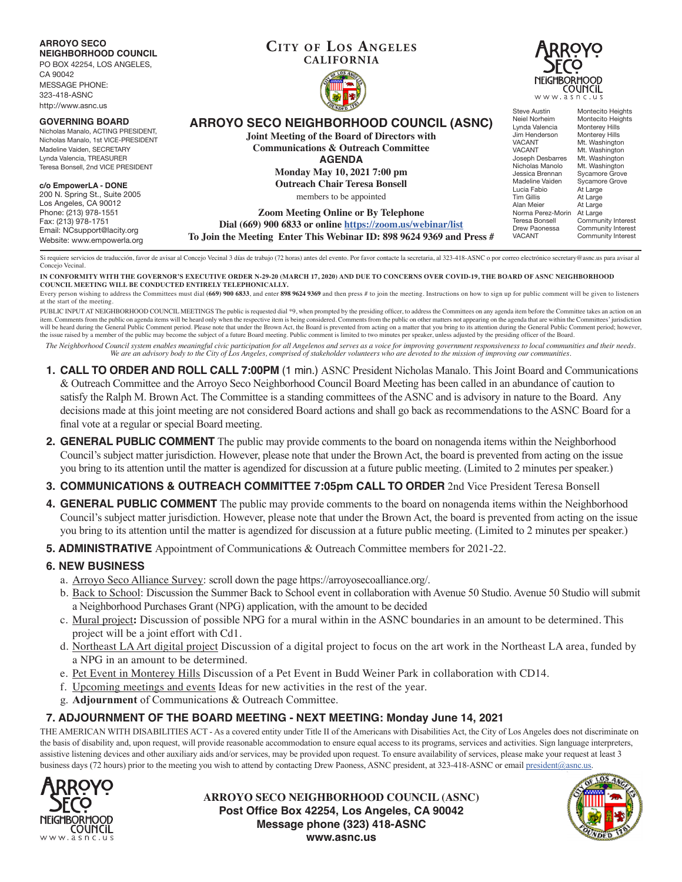

Si requiere servicios de traducción, favor de avisar al Concejo Vecinal 3 días de trabajo (72 horas) antes del evento. Por favor contacte la secretaria, al 323-418-ASNC o por correo electrónico secretary@asnc.us para avisa Concejo Vecinal.

**IN CONFORMITY WITH THE GOVERNOR'S EXECUTIVE ORDER N-29-20 (MARCH 17, 2020) AND DUE TO CONCERNS OVER COVID-19, THE BOARD OF ASNC NEIGHBORHOOD COUNCIL MEETING WILL BE CONDUCTED ENTIRELY TELEPHONICALLY.**

Every person wishing to address the Committees must dial (669) 900 6833, and enter 898 9624 9369 and then press # to join the meeting. Instructions on how to sign up for public comment will be given to listeners at the start of the meeting.

PUBLIC INPUT AT NEIGHBORHOOD COUNCIL MEETINGS The public is requested dial \*9, when prompted by the presiding officer, to address the Committees on any agenda item before the Committee takes an action on an item. Comments from the public on agenda items will be heard only when the respective item is being considered. Comments from the public on other matters not appearing on the agenda that are within the Committees' jurisdic will be heard during the General Public Comment period. Please note that under the Brown Act, the Board is prevented from acting on a matter that you bring to its attention during the General Public Comment period; however the issue raised by a member of the public may become the subject of a future Board meeting. Public comment is limited to two minutes per speaker, unless adjusted by the presiding officer of the Board.

*The Neighborhood Council system enables meaningful civic participation for all Angelenos and serves as a voice for improving government responsiveness to local communities and their needs. We are an advisory body to the City of Los Angeles, comprised of stakeholder volunteers who are devoted to the mission of improving our communities.*

- **1. CALL TO ORDER AND ROLL CALL 7:00PM** (1 min.) ASNC President Nicholas Manalo. This Joint Board and Communications & Outreach Committee and the Arroyo Seco Neighborhood Council Board Meeting has been called in an abundance of caution to satisfy the Ralph M. Brown Act. The Committee is a standing committees of the ASNC and is advisory in nature to the Board. Any decisions made at this joint meeting are not considered Board actions and shall go back as recommendations to the ASNC Board for a final vote at a regular or special Board meeting.
- **2. GENERAL PUBLIC COMMENT** The public may provide comments to the board on nonagenda items within the Neighborhood Council's subject matter jurisdiction. However, please note that under the Brown Act, the board is prevented from acting on the issue you bring to its attention until the matter is agendized for discussion at a future public meeting. (Limited to 2 minutes per speaker.)
- **3. COMMUNICATIONS & OUTREACH COMMITTEE 7:05pm CALL TO ORDER** 2nd Vice President Teresa Bonsell
- **4. GENERAL PUBLIC COMMENT** The public may provide comments to the board on nonagenda items within the Neighborhood Council's subject matter jurisdiction. However, please note that under the Brown Act, the board is prevented from acting on the issue you bring to its attention until the matter is agendized for discussion at a future public meeting. (Limited to 2 minutes per speaker.)
- **5. ADMINISTRATIVE** Appointment of Communications & Outreach Committee members for 2021-22.

## **6. NEW BUSINESS**

- a. Arroyo Seco Alliance Survey: scroll down the page https://arroyosecoalliance.org/.
- b. Back to School: Discussion the Summer Back to School event in collaboration with Avenue 50 Studio. Avenue 50 Studio will submit a Neighborhood Purchases Grant (NPG) application, with the amount to be decided
- c. Mural project**:** Discussion of possible NPG for a mural within in the ASNC boundaries in an amount to be determined. This project will be a joint effort with Cd1.
- d. Northeast LA Art digital project Discussion of a digital project to focus on the art work in the Northeast LA area, funded by a NPG in an amount to be determined.
- e. Pet Event in Monterey Hills Discussion of a Pet Event in Budd Weiner Park in collaboration with CD14.
- f. Upcoming meetings and events Ideas for new activities in the rest of the year.
- g. **Adjournment** of Communications & Outreach Committee.

## **7. ADJOURNMENT OF THE BOARD MEETING - NEXT MEETING: Monday June 14, 2021**

THE AMERICAN WITH DISABILITIES ACT - As a covered entity under Title II of the Americans with Disabilities Act, the City of Los Angeles does not discriminate on the basis of disability and, upon request, will provide reasonable accommodation to ensure equal access to its programs, services and activities. Sign language interpreters, assistive listening devices and other auxiliary aids and/or services, may be provided upon request. To ensure availability of services, please make your request at least 3 business days (72 hours) prior to the meeting you wish to attend by contacting Drew Paoness, ASNC president, at 323-418-ASNC or email president@asnc.us.



**ARROYO SECO NEIGHBORHOOD COUNCIL (ASNC) Post Office Box 42254, Los Angeles, CA 90042 Message phone (323) 418-ASNC www.asnc.us**